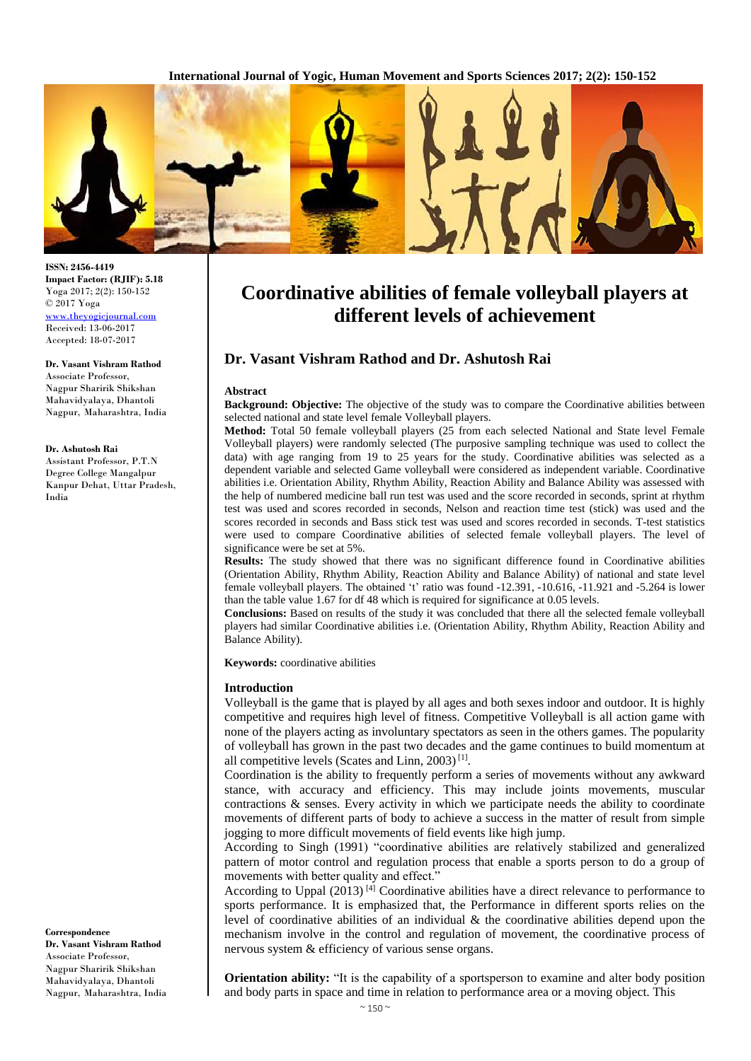**International Journal of Yogic, Human Movement and Sports Sciences 2017; 2(2): 150-152**



**ISSN: 2456-4419 Impact Factor: (RJIF): 5.18** Yoga 2017; 2(2): 150-152 © 2017 Yoga <www.theyogicjournal.com> Received: 13-06-2017 Accepted: 18-07-2017

**Dr. Vasant Vishram Rathod**  Associate Professor, Nagpur Sharirik Shikshan Mahavidyalaya, Dhantoli Nagpur, Maharashtra, India

## **Dr. Ashutosh Rai**

Assistant Professor, P.T.N Degree College Mangalpur Kanpur Dehat, Uttar Pradesh, India

**Correspondence Dr. Vasant Vishram Rathod**  Associate Professor, Nagpur Sharirik Shikshan Mahavidyalaya, Dhantoli Nagpur, Maharashtra, India

# **Coordinative abilities of female volleyball players at different levels of achievement**

# **Dr. Vasant Vishram Rathod and Dr. Ashutosh Rai**

## **Abstract**

**Background: Objective:** The objective of the study was to compare the Coordinative abilities between selected national and state level female Volleyball players.

**Method:** Total 50 female volleyball players (25 from each selected National and State level Female Volleyball players) were randomly selected (The purposive sampling technique was used to collect the data) with age ranging from 19 to 25 years for the study. Coordinative abilities was selected as a dependent variable and selected Game volleyball were considered as independent variable. Coordinative abilities i.e. Orientation Ability, Rhythm Ability, Reaction Ability and Balance Ability was assessed with the help of numbered medicine ball run test was used and the score recorded in seconds, sprint at rhythm test was used and scores recorded in seconds, Nelson and reaction time test (stick) was used and the scores recorded in seconds and Bass stick test was used and scores recorded in seconds. T-test statistics were used to compare Coordinative abilities of selected female volleyball players. The level of significance were be set at 5%.

**Results:** The study showed that there was no significant difference found in Coordinative abilities (Orientation Ability, Rhythm Ability, Reaction Ability and Balance Ability) of national and state level female volleyball players. The obtained 't' ratio was found -12.391, -10.616, -11.921 and -5.264 is lower than the table value 1.67 for df 48 which is required for significance at 0.05 levels.

**Conclusions:** Based on results of the study it was concluded that there all the selected female volleyball players had similar Coordinative abilities i.e. (Orientation Ability, Rhythm Ability, Reaction Ability and Balance Ability).

**Keywords:** coordinative abilities

## **Introduction**

Volleyball is the game that is played by all ages and both sexes indoor and outdoor. It is highly competitive and requires high level of fitness. Competitive Volleyball is all action game with none of the players acting as involuntary spectators as seen in the others games. The popularity of volleyball has grown in the past two decades and the game continues to build momentum at all competitive levels (Scates and Linn,  $2003$ )<sup>[1]</sup>.

Coordination is the ability to frequently perform a series of movements without any awkward stance, with accuracy and efficiency. This may include joints movements, muscular contractions & senses. Every activity in which we participate needs the ability to coordinate movements of different parts of body to achieve a success in the matter of result from simple jogging to more difficult movements of field events like high jump.

According to Singh (1991) "coordinative abilities are relatively stabilized and generalized pattern of motor control and regulation process that enable a sports person to do a group of movements with better quality and effect."

According to Uppal  $(2013)$  [4] Coordinative abilities have a direct relevance to performance to sports performance. It is emphasized that, the Performance in different sports relies on the level of coordinative abilities of an individual & the coordinative abilities depend upon the mechanism involve in the control and regulation of movement, the coordinative process of nervous system & efficiency of various sense organs.

**Orientation ability:** "It is the capability of a sportsperson to examine and alter body position and body parts in space and time in relation to performance area or a moving object. This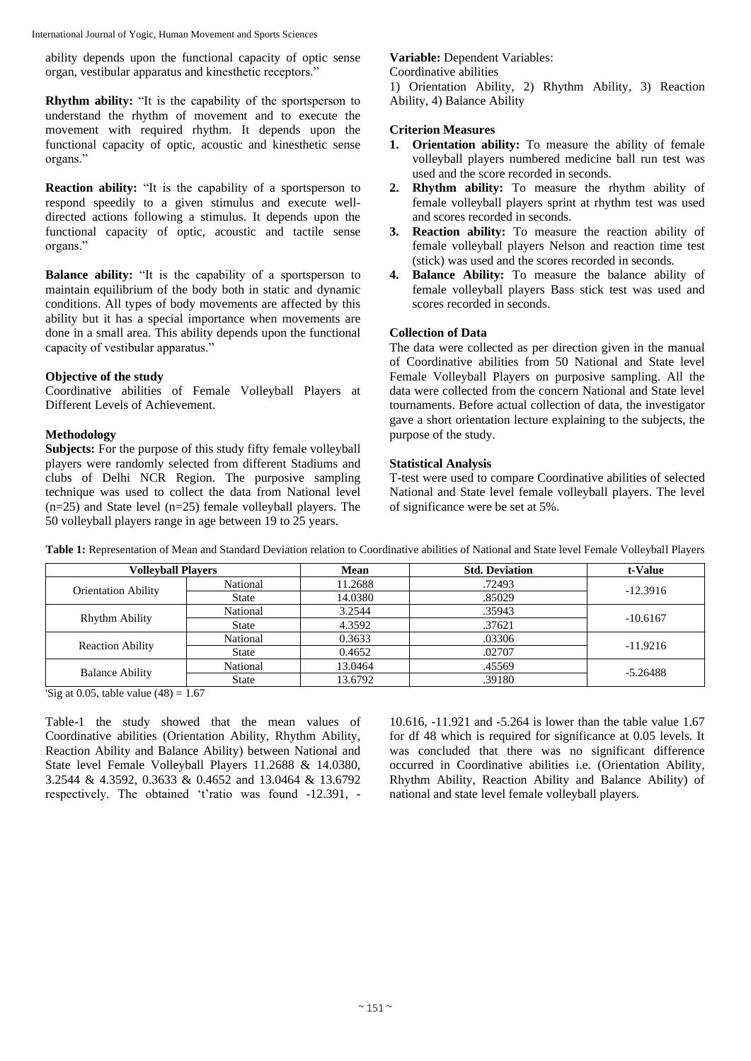International Journal of Yogic, Human Movement and Sports Sciences

ability depends upon the functional capacity of optic sense organ, vestibular apparatus and kinesthetic receptors."

**Rhythm ability:** "It is the capability of the sportsperson to understand the rhythm of movement and to execute the movement with required rhythm. It depends upon the functional capacity of optic, acoustic and kinesthetic sense organs."

**Reaction ability:** "It is the capability of a sportsperson to respond speedily to a given stimulus and execute welldirected actions following a stimulus. It depends upon the functional capacity of optic, acoustic and tactile sense organs."

**Balance ability:** "It is the capability of a sportsperson to maintain equilibrium of the body both in static and dynamic conditions. All types of body movements are affected by this ability but it has a special importance when movements are done in a small area. This ability depends upon the functional capacity of vestibular apparatus."

# **Objective of the study**

Coordinative abilities of Female Volleyball Players at Different Levels of Achievement.

## **Methodology**

**Subjects:** For the purpose of this study fifty female volleyball players were randomly selected from different Stadiums and clubs of Delhi NCR Region. The purposive sampling technique was used to collect the data from National level  $(n=25)$  and State level  $(n=25)$  female volleyball players. The 50 volleyball players range in age between 19 to 25 years.

# **Variable:** Dependent Variables:

Coordinative abilities

1) Orientation Ability, 2) Rhythm Ability, 3) Reaction Ability, 4) Balance Ability

# **Criterion Measures**

- **1. Orientation ability:** To measure the ability of female volleyball players numbered medicine ball run test was used and the score recorded in seconds.
- **2. Rhythm ability:** To measure the rhythm ability of female volleyball players sprint at rhythm test was used and scores recorded in seconds.
- **3. Reaction ability:** To measure the reaction ability of female volleyball players Nelson and reaction time test (stick) was used and the scores recorded in seconds.
- **4. Balance Ability:** To measure the balance ability of female volleyball players Bass stick test was used and scores recorded in seconds.

# **Collection of Data**

The data were collected as per direction given in the manual of Coordinative abilities from 50 National and State level Female Volleyball Players on purposive sampling. All the data were collected from the concern National and State level tournaments. Before actual collection of data, the investigator gave a short orientation lecture explaining to the subjects, the purpose of the study.

# **Statistical Analysis**

T-test were used to compare Coordinative abilities of selected National and State level female volleyball players. The level of significance were be set at 5%.

| <b>Volleyball Players</b>  |              | Mean    | <b>Std. Deviation</b> | t-Value    |
|----------------------------|--------------|---------|-----------------------|------------|
| <b>Orientation Ability</b> | National     | 11.2688 | .72493                | $-12.3916$ |
|                            | <b>State</b> | 14.0380 | .85029                |            |
| Rhythm Ability             | National     | 3.2544  | .35943                | $-10.6167$ |
|                            | <b>State</b> | 4.3592  | .37621                |            |
| <b>Reaction Ability</b>    | National     | 0.3633  | .03306                | $-11.9216$ |
|                            | <b>State</b> | 0.4652  | .02707                |            |
| <b>Balance Ability</b>     | National     | 13.0464 | .45569                | $-5.26488$ |
|                            | <b>State</b> | 13.6792 | .39180                |            |

**Table 1:** Representation of Mean and Standard Deviation relation to Coordinative abilities of National and State level Female Volleyball Players

'Sig at 0.05, table value  $(48) = 1.67$ 

Table-1 the study showed that the mean values of Coordinative abilities (Orientation Ability, Rhythm Ability, Reaction Ability and Balance Ability) between National and State level Female Volleyball Players 11.2688 & 14.0380, 3.2544 & 4.3592, 0.3633 & 0.4652 and 13.0464 & 13.6792 respectively. The obtained 't'ratio was found -12.391, -

10.616, -11.921 and -5.264 is lower than the table value 1.67 for df 48 which is required for significance at 0.05 levels. It was concluded that there was no significant difference occurred in Coordinative abilities i.e. (Orientation Ability, Rhythm Ability, Reaction Ability and Balance Ability) of national and state level female volleyball players.